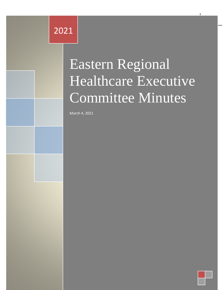# Eastern Regional Healthcare 2021

Minuts

# Executive Committee Committee Committee Committee Committee Committee Committee Committee Committee Committee Minutes Eastern Regional Healthcare Executive Committee Minutes

Eastern Regional Healthcare Executive Committee Minutes 2021

March 4, 2021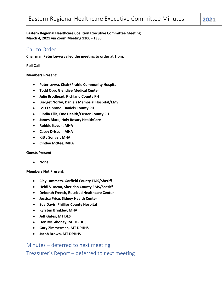#### **Eastern Regional Healthcare Coalition Executive Committee Meeting March 4, 2021 via Zoom Meeting 1300 - 1335**

## Call to Order

**Chairman Peter Leyva called the meeting to order at 1 pm.**

**Roll Call**

**Members Present:**

- **Peter Leyva, Chair/Prairie Community Hospital**
- **Todd Opp, Glendive Medical Center**
- **Julie Brodhead, Richland County PH**
- **Bridget Norby, Daniels Memorial Hospital/EMS**
- **Lois Leibrand, Daniels County PH**
- **Cindia Ellis, One Health/Custer County PH**
- **James Black, Holy Rosary HealthCare**
- **Robbie Kavon, MHA**
- **Casey Driscoll, MHA**
- **Kitty Songer, MHA**
- **Cindee McKee, MHA**

**Guests Present:**

• **None**

**Members Not Present:**

- **Clay Lammers, Garfield County EMS/Sheriff**
- **Heidi Visocan, Sheridan County EMS/Sheriff**
- **Deborah French, Rosebud Healthcare Center**
- **Jessica Price, Sidney Health Center**
- **Sue Davis, Phillips County Hospital**
- **Kyrsten Brinkley, MHA**
- **Jeff Gates, MT DES**
- **Don McGiboney, MT DPHHS**
- **Gary Zimmerman, MT DPHHS**
- **Jacob Brown, MT DPHHS**

Minutes – deferred to next meeting Treasurer's Report – deferred to next meeting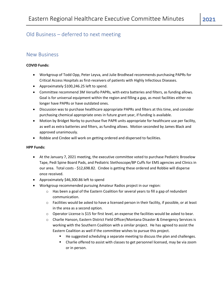## Old Business – deferred to next meeting

### New Business

#### **COVID Funds:**

- Workgroup of Todd Opp, Peter Leyva, and Julie Brodhead recommends purchasing PAPRs for Critical Access Hospitals as first-receivers of patients with Highly Infectious Diseases.
- Approximately \$100,246.25 left to spend.
- Committee recommend 3M Versaflo PAPRs, with extra batteries and filters, as funding allows. Goal is for universal equipment within the region and filling a gap, as most facilities either no longer have PAPRs or have outdated ones.
- Discussion was to purchase healthcare appropriate PAPRs and filters at this time, and consider purchasing chemical appropriate ones in future grant year, if funding is available.
- Motion by Bridget Norby to purchase five PAPR units appropriate for healthcare use per facility, as well as extra batteries and filters, as funding allows. Motion seconded by James Black and approved unanimously.
- Robbie and Cindee will work on getting ordered and dispersed to facilities.

#### **HPP Funds:**

- At the January 7, 2021 meeting, the executive committee voted to purchase Pediatric Broselow Tape, Pedi Spine Board Pads, and Pediatric Stethoscope/BP Cuffs for EMS agencies and Clinics in our area. Total costs - \$12,698.82. Cindee is getting these ordered and Robbie will disperse once received.
- Approximately \$46,300.86 left to spend
- Workgroup recommended pursuing Amateur Radios project in our region:
	- $\circ$  Has been a goal of the Eastern Coalition for several years to fill a gap of redundant communication.
	- $\circ$  Facilities would be asked to have a licensed person in their facility, if possible, or at least in the area as a second option.
	- $\circ$  Operator License is \$15 for first level, an expense the facilities would be asked to bear.
	- o Charlie Hanson, Eastern District Field Officer/Montana Disaster & Emergency Services is working with the Southern Coalition with a similar project. He has agreed to assist the Eastern Coalition as well if the committee wishes to pursue this project.
		- He suggested scheduling a separate meeting to discuss the plan and challenges.
		- **EXED** Charlie offered to assist with classes to get personnel licensed, may be via zoom or in person.